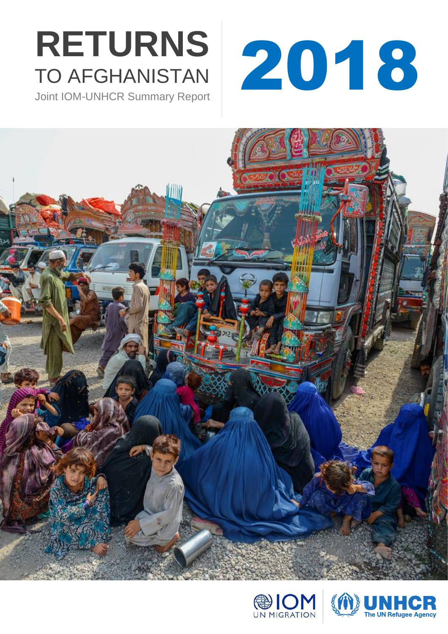# TO AFGHANISTAN

Joint IOM-UNHCR Summary Report







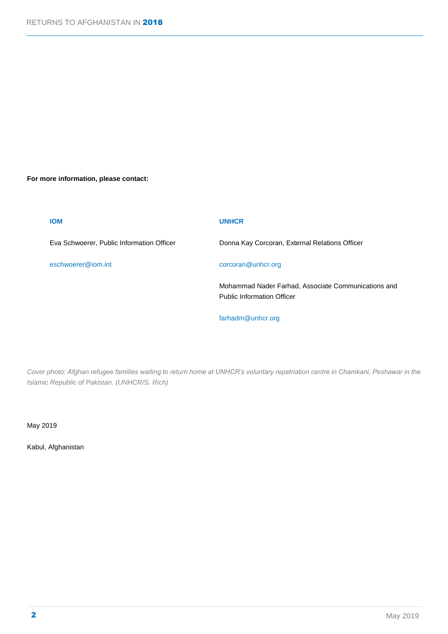#### **For more information, please contact:**

| <b>IOM</b>                                | <b>UNHCR</b>                                                                             |
|-------------------------------------------|------------------------------------------------------------------------------------------|
| Eva Schwoerer, Public Information Officer | Donna Kay Corcoran, External Relations Officer                                           |
| eschwoerer@iom.int                        | corcoran@unhcr.org                                                                       |
|                                           | Mohammad Nader Farhad, Associate Communications and<br><b>Public Information Officer</b> |

*Cover photo: Afghan refugee families waiting to return home at UNHCR's voluntary repatriation centre in Chamkani, Peshawar in the Islamic Republic of Pakistan. (UNHCR/S. Rich)*

[farhadm@unhcr.org](mailto:farhadm@unhcr.org)

May 2019

Kabul, Afghanistan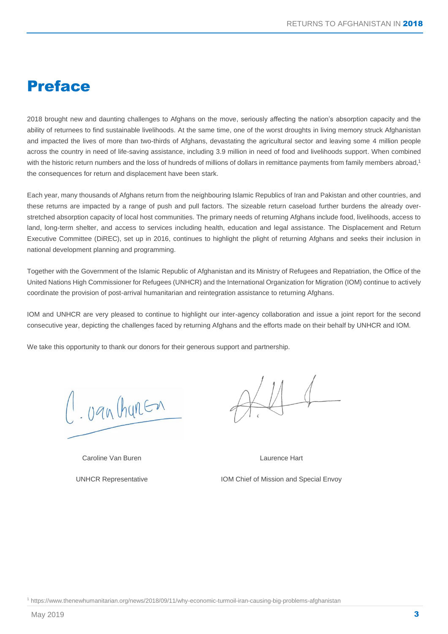## Preface

2018 brought new and daunting challenges to Afghans on the move, seriously affecting the nation's absorption capacity and the ability of returnees to find sustainable livelihoods. At the same time, one of the worst droughts in living memory struck Afghanistan and impacted the lives of more than two-thirds of Afghans, devastating the agricultural sector and leaving some 4 million people across the country in need of life-saving assistance, including 3.9 million in need of food and livelihoods support. When combined with the historic return numbers and the loss of hundreds of millions of dollars in remittance payments from family members abroad,<sup>1</sup> the consequences for return and displacement have been stark.

Each year, many thousands of Afghans return from the neighbouring Islamic Republics of Iran and Pakistan and other countries, and these returns are impacted by a range of push and pull factors. The sizeable return caseload further burdens the already overstretched absorption capacity of local host communities. The primary needs of returning Afghans include food, livelihoods, access to land, long-term shelter, and access to services including health, education and legal assistance. The Displacement and Return Executive Committee (DiREC), set up in 2016, continues to highlight the plight of returning Afghans and seeks their inclusion in national development planning and programming.

Together with the Government of the Islamic Republic of Afghanistan and its Ministry of Refugees and Repatriation, the Office of the United Nations High Commissioner for Refugees (UNHCR) and the International Organization for Migration (IOM) continue to actively coordinate the provision of post-arrival humanitarian and reintegration assistance to returning Afghans.

IOM and UNHCR are very pleased to continue to highlight our inter-agency collaboration and issue a joint report for the second consecutive year, depicting the challenges faced by returning Afghans and the efforts made on their behalf by UNHCR and IOM.

We take this opportunity to thank our donors for their generous support and partnership.

1. van Churen

Caroline Van Buren

UNHCR Representative

Laurence Hart

IOM Chief of Mission and Special Envoy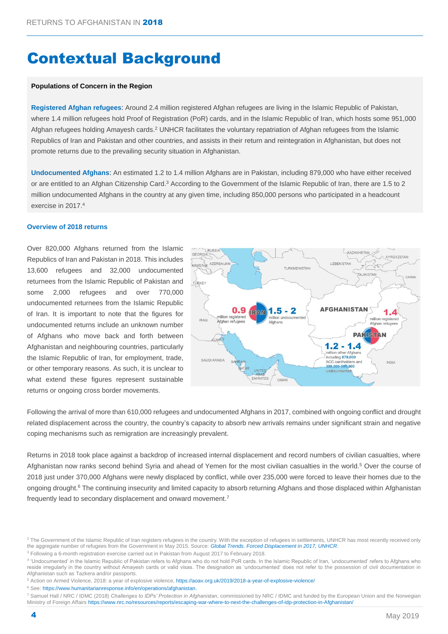# Contextual Background

#### **Populations of Concern in the Region**

**Registered Afghan refugees**: Around 2.4 million registered Afghan refugees are living in the Islamic Republic of Pakistan, where 1.4 million refugees hold Proof of Registration (PoR) cards, and in the Islamic Republic of Iran, which hosts some 951,000 Afghan refugees holding Amayesh cards.<sup>2</sup> UNHCR facilitates the voluntary repatriation of Afghan refugees from the Islamic Republics of Iran and Pakistan and other countries, and assists in their return and reintegration in Afghanistan, but does not promote returns due to the prevailing security situation in Afghanistan.

**Undocumented Afghans**: An estimated 1.2 to 1.4 million Afghans are in Pakistan, including 879,000 who have either received or are entitled to an Afghan Citizenship Card.<sup>3</sup> According to the Government of the Islamic Republic of Iran, there are 1.5 to 2 million undocumented Afghans in the country at any given time, including 850,000 persons who participated in a headcount exercise in 2017. 4

#### **Overview of 2018 returns**

Over 820,000 Afghans returned from the Islamic Republics of Iran and Pakistan in 2018. This includes 13,600 refugees and 32,000 undocumented returnees from the Islamic Republic of Pakistan and some 2,000 refugees and over 770,000 undocumented returnees from the Islamic Republic of Iran. It is important to note that the figures for undocumented returns include an unknown number of Afghans who move back and forth between Afghanistan and neighbouring countries, particularly the Islamic Republic of Iran, for employment, trade, or other temporary reasons. As such, it is unclear to what extend these figures represent sustainable returns or ongoing cross border movements.



Following the arrival of more than 610,000 refugees and undocumented Afghans in 2017, combined with ongoing conflict and drought related displacement across the country, the country's capacity to absorb new arrivals remains under significant strain and negative coping mechanisms such as remigration are increasingly prevalent.

Returns in 2018 took place against a backdrop of increased internal displacement and record numbers of civilian casualties, where Afghanistan now ranks second behind Syria and ahead of Yemen for the most civilian casualties in the world.<sup>5</sup> Over the course of 2018 just under 370,000 Afghans were newly displaced by conflict, while over 235,000 were forced to leave their homes due to the ongoing drought.<sup>6</sup> The continuing insecurity and limited capacity to absorb returning Afghans and those displaced within Afghanistan frequently lead to secondary displacement and onward movement.<sup>7</sup>

<sup>3</sup> Following a 6-month registration exercise carried out in Pakistan from August 2017 to February 2018.

4 'Undocumented' in the Islamic Republic of Pakistan refers to Afghans who do not hold PoR cards. In the Islamic Republic of Iran, 'undocumented' refers to Afghans who reside irregularly in the country without Amayesh cards or valid visas. The designation as 'undocumented' does not refer to the possession of civil documentation in Afghanistan such as Tazkera and/or passports.

<sup>6</sup> See: [https://www.humanitarianresponse.info/en/operations/afghanistan.](https://www.humanitarianresponse.info/en/operations/afghanistan)

<sup>&</sup>lt;sup>2</sup> The Government of the Islamic Republic of Iran registers refugees in the country. With the exception of refugees in settlements, UNHCR has most recently received only the aggregate number of refugees from the Government in May 2015. Source: *[Global Trends. Forced Displacement in 2017,](http://www.unhcr.org/statistics/unhcrstats/5943e8a34/global-trends-forced-displacement-2016.html) UNHCR*.

<sup>5</sup> Action on Armed Violence, 2018: a year of explosive violence[, https://aoav.org.uk/2019/2018-a-year-of-explosive-violence/](https://aoav.org.uk/2019/2018-a-year-of-explosive-violence/)

<sup>7</sup> Samuel Hall / NRC / IDMC (2018) *Challenges to IDPs' Protection in Afghanistan*, commissioned by NRC / IDMC and funded by the European Union and the Norwegian Ministry of Foreign Affair[s https://www.nrc.no/resources/reports/escaping-war-where-to-next-the-challenges-of-idp-protection-in-Afghanistan/](https://www.nrc.no/resources/reports/escaping-war-where-to-next-the-challenges-of-idp-protection-in-Afghanistan/)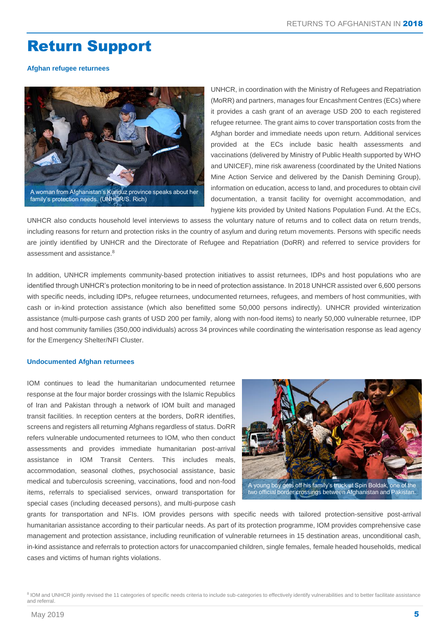## Return Support

**Afghan refugee returnees**



UNHCR, in coordination with the Ministry of Refugees and Repatriation (MoRR) and partners, manages four Encashment Centres (ECs) where it provides a cash grant of an average USD 200 to each registered refugee returnee. The grant aims to cover transportation costs from the Afghan border and immediate needs upon return. Additional services provided at the ECs include basic health assessments and vaccinations (delivered by Ministry of Public Health supported by WHO and UNICEF), mine risk awareness (coordinated by the United Nations Mine Action Service and delivered by the Danish Demining Group), information on education, access to land, and procedures to obtain civil documentation, a transit facility for overnight accommodation, and hygiene kits provided by United Nations Population Fund. At the ECs,

UNHCR also conducts household level interviews to assess the voluntary nature of returns and to collect data on return trends, including reasons for return and protection risks in the country of asylum and during return movements. Persons with specific needs are jointly identified by UNHCR and the Directorate of Refugee and Repatriation (DoRR) and referred to service providers for assessment and assistance.<sup>8</sup>

In addition, UNHCR implements community-based protection initiatives to assist returnees, IDPs and host populations who are identified through UNHCR's protection monitoring to be in need of protection assistance. In 2018 UNHCR assisted over 6,600 persons with specific needs, including IDPs, refugee returnees, undocumented returnees, refugees, and members of host communities, with cash or in-kind protection assistance (which also benefitted some 50,000 persons indirectly). UNHCR provided winterization assistance (multi-purpose cash grants of USD 200 per family, along with non-food items) to nearly 50,000 vulnerable returnee, IDP and host community families (350,000 individuals) across 34 provinces while coordinating the winterisation response as lead agency for the Emergency Shelter/NFI Cluster.

#### **Undocumented Afghan returnees**

IOM continues to lead the humanitarian undocumented returnee response at the four major border crossings with the Islamic Republics of Iran and Pakistan through a network of IOM built and managed transit facilities. In reception centers at the borders, DoRR identifies, screens and registers all returning Afghans regardless of status. DoRR refers vulnerable undocumented returnees to IOM, who then conduct assessments and provides immediate humanitarian post-arrival assistance in IOM Transit Centers. This includes meals, accommodation, seasonal clothes, psychosocial assistance, basic medical and tuberculosis screening, vaccinations, food and non-food items, referrals to specialised services, onward transportation for special cases (including deceased persons), and multi-purpose cash



grants for transportation and NFIs. IOM provides persons with specific needs with tailored protection-sensitive post-arrival humanitarian assistance according to their particular needs. As part of its protection programme, IOM provides comprehensive case management and protection assistance, including reunification of vulnerable returnees in 15 destination areas, unconditional cash, in-kind assistance and referrals to protection actors for unaccompanied children, single females, female headed households, medical cases and victims of human rights violations.

<sup>8</sup> IOM and UNHCR jointly revised the 11 categories of specific needs criteria to include sub-categories to effectively identify vulnerabilities and to better facilitate assistance and referral.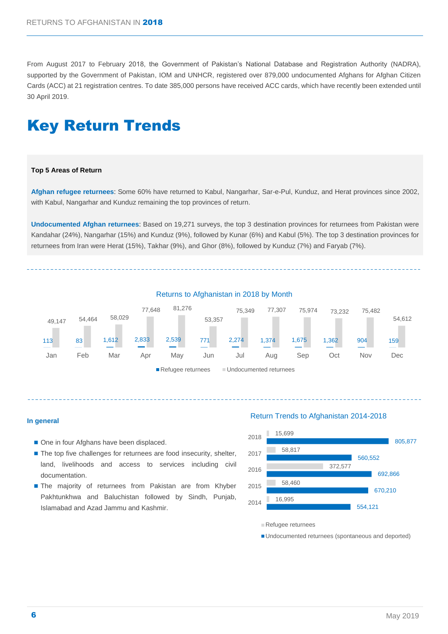From August 2017 to February 2018, the Government of Pakistan's National Database and Registration Authority (NADRA), supported by the Government of Pakistan, IOM and UNHCR, registered over 879,000 undocumented Afghans for Afghan Citizen Cards (ACC) at 21 registration centres. To date 385,000 persons have received ACC cards, which have recently been extended until 30 April 2019.

## Key Return Trends

#### **Top 5 Areas of Return**

**Afghan refugee returnees**: Some 60% have returned to Kabul, Nangarhar, Sar-e-Pul, Kunduz, and Herat provinces since 2002, with Kabul, Nangarhar and Kunduz remaining the top provinces of return.

**Undocumented Afghan returnees**: Based on 19,271 surveys, the top 3 destination provinces for returnees from Pakistan were Kandahar (24%), Nangarhar (15%) and Kunduz (9%), followed by Kunar (6%) and Kabul (5%). The top 3 destination provinces for returnees from Iran were Herat (15%), Takhar (9%), and Ghor (8%), followed by Kunduz (7%) and Faryab (7%).



#### **In general**

- One in four Afghans have been displaced.
- The top five challenges for returnees are food insecurity, shelter, land, livelihoods and access to services including civil documentation.
- The majority of returnees from Pakistan are from Khyber Pakhtunkhwa and Baluchistan followed by Sindh, Punjab, Islamabad and Azad Jammu and Kashmir. 554,121

#### Return Trends to Afghanistan 2014-2018



■ Undocumented returnees (spontaneous and deported)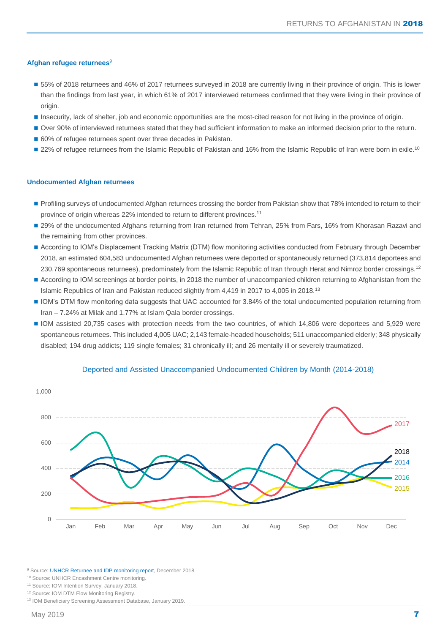#### **Afghan refugee returnees**<sup>9</sup>

- 55% of 2018 returnees and 46% of 2017 returnees surveyed in 2018 are currently living in their province of origin. This is lower than the findings from last year, in which 61% of 2017 interviewed returnees confirmed that they were living in their province of origin.
- Insecurity, lack of shelter, job and economic opportunities are the most-cited reason for not living in the province of origin.
- Over 90% of interviewed returnees stated that they had sufficient information to make an informed decision prior to the return.
- 60% of refugee returnees spent over three decades in Pakistan.
- 22% of refugee returnees from the Islamic Republic of Pakistan and 16% from the Islamic Republic of Iran were born in exile.<sup>10</sup>

#### **Undocumented Afghan returnees**

- Profiling surveys of undocumented Afghan returnees crossing the border from Pakistan show that 78% intended to return to their province of origin whereas 22% intended to return to different provinces.<sup>11</sup>
- 29% of the undocumented Afghans returning from Iran returned from Tehran, 25% from Fars, 16% from Khorasan Razavi and the remaining from other provinces.
- According to IOM's Displacement Tracking Matrix (DTM) flow monitoring activities conducted from February through December 2018, an estimated 604,583 undocumented Afghan returnees were deported or spontaneously returned (373,814 deportees and 230,769 spontaneous returnees), predominately from the Islamic Republic of Iran through Herat and Nimroz border crossings.<sup>12</sup>
- According to IOM screenings at border points, in 2018 the number of unaccompanied children returning to Afghanistan from the Islamic Republics of Iran and Pakistan reduced slightly from 4,419 in 2017 to 4,005 in 2018.<sup>13</sup>
- IOM's DTM flow monitoring data suggests that UAC accounted for 3.84% of the total undocumented population returning from Iran – 7.24% at Milak and 1.77% at Islam Qala border crossings.
- IOM assisted 20,735 cases with protection needs from the two countries, of which 14,806 were deportees and 5,929 were spontaneous returnees. This included 4,005 UAC; 2,143 female-headed households; 511 unaccompanied elderly; 348 physically disabled; 194 drug addicts; 119 single females; 31 chronically ill; and 26 mentally ill or severely traumatized.



#### Deported and Assisted Unaccompanied Undocumented Children by Month (2014-2018)

<sup>9</sup> Source[: UNHCR Returnee and IDP](https://data2.unhcr.org/en/documents/details/61725) monitoring report, December 2018.

<sup>10</sup> Source: UNHCR Encashment Centre monitoring.

<sup>&</sup>lt;sup>11</sup> Source: IOM Intention Survey, January 2018.

<sup>&</sup>lt;sup>12</sup> Source: IOM DTM Flow Monitoring Registry.

<sup>13</sup> IOM Beneficiary Screening Assessment Database, January 2019.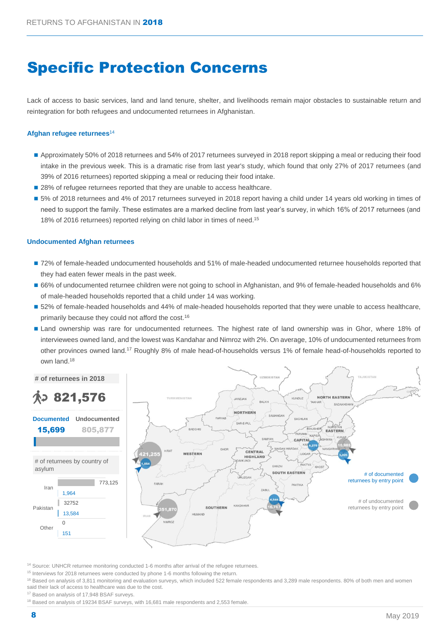# Specific Protection Concerns

Lack of access to basic services, land and land tenure, shelter, and livelihoods remain major obstacles to sustainable return and reintegration for both refugees and undocumented returnees in Afghanistan.

#### **Afghan refugee returnees**<sup>14</sup>

- Approximately 50% of 2018 returnees and 54% of 2017 returnees surveyed in 2018 report skipping a meal or reducing their food intake in the previous week. This is a dramatic rise from last year's study, which found that only 27% of 2017 returnees (and 39% of 2016 returnees) reported skipping a meal or reducing their food intake.
- 28% of refugee returnees reported that they are unable to access healthcare.
- 5% of 2018 returnees and 4% of 2017 returnees surveyed in 2018 report having a child under 14 years old working in times of need to support the family. These estimates are a marked decline from last year's survey, in which 16% of 2017 returnees (and 18% of 2016 returnees) reported relying on child labor in times of need. 15

#### **Undocumented Afghan returnees**

- 72% of female-headed undocumented households and 51% of male-headed undocumented returnee households reported that they had eaten fewer meals in the past week.
- 66% of undocumented returnee children were not going to school in Afghanistan, and 9% of female-headed households and 6% of male-headed households reported that a child under 14 was working.
- 52% of female-headed households and 44% of male-headed households reported that they were unable to access healthcare, primarily because they could not afford the cost.<sup>16</sup>
- Land ownership was rare for undocumented returnees. The highest rate of land ownership was in Ghor, where 18% of interviewees owned land, and the lowest was Kandahar and Nimroz with 2%. On average, 10% of undocumented returnees from other provinces owned land.<sup>17</sup> Roughly 8% of male head-of-households versus 1% of female head-of-households reported to own land.<sup>18</sup>



<sup>14</sup> Source: UNHCR returnee monitoring conducted 1-6 months after arrival of the refugee returnees.

<sup>15</sup> Interviews for 2018 returnees were conducted by phone 1-6 months following the return.

<sup>16</sup> Based on analysis of 3,811 monitoring and evaluation surveys, which included 522 female respondents and 3,289 male respondents. 80% of both men and women said their lack of access to healthcare was due to the cost.

<sup>17</sup> Based on analysis of 17,948 BSAF surveys.

<sup>18</sup> Based on analysis of 19234 BSAF surveys, with 16,681 male respondents and 2,553 female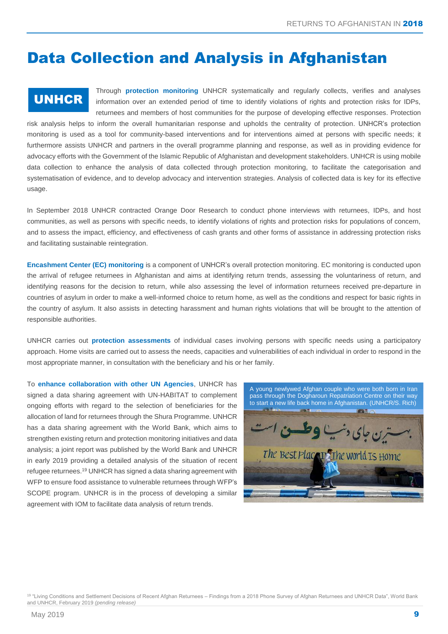## Data Collection and Analysis in Afghanistan

### UNHCR

Through **protection monitoring** UNHCR systematically and regularly collects, verifies and analyses information over an extended period of time to identify violations of rights and protection risks for IDPs, returnees and members of host communities for the purpose of developing effective responses. Protection

risk analysis helps to inform the overall humanitarian response and upholds the centrality of protection. UNHCR's protection monitoring is used as a tool for community-based interventions and for interventions aimed at persons with specific needs; it furthermore assists UNHCR and partners in the overall programme planning and response, as well as in providing evidence for advocacy efforts with the Government of the Islamic Republic of Afghanistan and development stakeholders. UNHCR is using mobile data collection to enhance the analysis of data collected through protection monitoring, to facilitate the categorisation and systematisation of evidence, and to develop advocacy and intervention strategies. Analysis of collected data is key for its effective usage.

In September 2018 UNHCR contracted Orange Door Research to conduct phone interviews with returnees, IDPs, and host communities, as well as persons with specific needs, to identify violations of rights and protection risks for populations of concern, and to assess the impact, efficiency, and effectiveness of cash grants and other forms of assistance in addressing protection risks and facilitating sustainable reintegration.

**Encashment Center (EC) monitoring** is a component of UNHCR's overall protection monitoring. EC monitoring is conducted upon the arrival of refugee returnees in Afghanistan and aims at identifying return trends, assessing the voluntariness of return, and identifying reasons for the decision to return, while also assessing the level of information returnees received pre-departure in countries of asylum in order to make a well-informed choice to return home, as well as the conditions and respect for basic rights in the country of asylum. It also assists in detecting harassment and human rights violations that will be brought to the attention of responsible authorities.

UNHCR carries out **protection assessments** of individual cases involving persons with specific needs using a participatory approach. Home visits are carried out to assess the needs, capacities and vulnerabilities of each individual in order to respond in the most appropriate manner, in consultation with the beneficiary and his or her family.

To **enhance collaboration with other UN Agencies**, UNHCR has signed a data sharing agreement with UN-HABITAT to complement ongoing efforts with regard to the selection of beneficiaries for the allocation of land for returnees through the Shura Programme. UNHCR has a data sharing agreement with the World Bank, which aims to strengthen existing return and protection monitoring initiatives and data analysis; a joint report was published by the World Bank and UNHCR in early 2019 providing a detailed analysis of the situation of recent refugee returnees.<sup>19</sup> UNHCR has signed a data sharing agreement with WFP to ensure food assistance to vulnerable returnees through WFP's SCOPE program. UNHCR is in the process of developing a similar agreement with IOM to facilitate data analysis of return trends.



<sup>19 "</sup>Living Conditions and Settlement Decisions of Recent Afghan Returnees – Findings from a 2018 Phone Survey of Afghan Returnees and UNHCR Data", World Bank and UNHCR, February 2019 *(pending release)*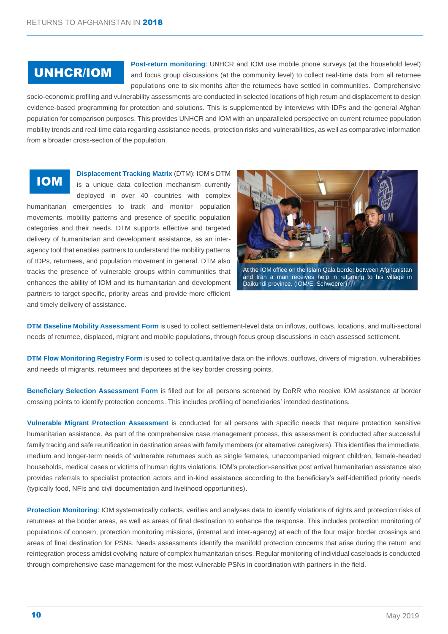## UNHCR/IOM

**Post-return monitoring**: UNHCR and IOM use mobile phone surveys (at the household level) and focus group discussions (at the community level) to collect real-time data from all returnee populations one to six months after the returnees have settled in communities. Comprehensive

socio-economic profiling and vulnerability assessments are conducted in selected locations of high return and displacement to design evidence-based programming for protection and solutions. This is supplemented by interviews with IDPs and the general Afghan population for comparison purposes. This provides UNHCR and IOM with an unparalleled perspective on current returnee population mobility trends and real-time data regarding assistance needs, protection risks and vulnerabilities, as well as comparative information from a broader cross-section of the population.

## **IO** IOM

**Displacement Tracking Matrix** (DTM): IOM's DTM

is a unique data collection mechanism currently deployed in over 40 countries with complex humanitarian emergencies to track and monitor population movements, mobility patterns and presence of specific population categories and their needs. DTM supports effective and targeted delivery of humanitarian and development assistance, as an interagency tool that enables partners to understand the mobility patterns of IDPs, returnees, and population movement in general. DTM also tracks the presence of vulnerable groups within communities that enhances the ability of IOM and its humanitarian and development partners to target specific, priority areas and provide more efficient and timely delivery of assistance. **M**



At the IOM office on the Islam Qala border between Afghanistan and Iran a man receives help in returning to his village in Daikundi province. (IOM/E. Schwoerer)

**DTM Baseline Mobility Assessment Form** is used to collect settlement-level data on inflows, outflows, locations, and multi-sectoral needs of returnee, displaced, migrant and mobile populations, through focus group discussions in each assessed settlement.

**DTM Flow Monitoring Registry Form** is used to collect quantitative data on the inflows, outflows, drivers of migration, vulnerabilities and needs of migrants, returnees and deportees at the key border crossing points.

**Beneficiary Selection Assessment Form** is filled out for all persons screened by DoRR who receive IOM assistance at border crossing points to identify protection concerns. This includes profiling of beneficiaries' intended destinations.

**Vulnerable Migrant Protection Assessment** is conducted for all persons with specific needs that require protection sensitive humanitarian assistance. As part of the comprehensive case management process, this assessment is conducted after successful family tracing and safe reunification in destination areas with family members (or alternative caregivers). This identifies the immediate, medium and longer-term needs of vulnerable returnees such as single females, unaccompanied migrant children, female-headed households, medical cases or victims of human rights violations. IOM's protection-sensitive post arrival humanitarian assistance also provides referrals to specialist protection actors and in-kind assistance according to the beneficiary's self-identified priority needs (typically food, NFIs and civil documentation and livelihood opportunities).

**Protection Monitoring**: IOM systematically collects, verifies and analyses data to identify violations of rights and protection risks of returnees at the border areas, as well as areas of final destination to enhance the response. This includes protection monitoring of populations of concern, protection monitoring missions, (internal and inter-agency) at each of the four major border crossings and areas of final destination for PSNs. Needs assessments identify the manifold protection concerns that arise during the return and reintegration process amidst evolving nature of complex humanitarian crises. Regular monitoring of individual caseloads is conducted through comprehensive case management for the most vulnerable PSNs in coordination with partners in the field.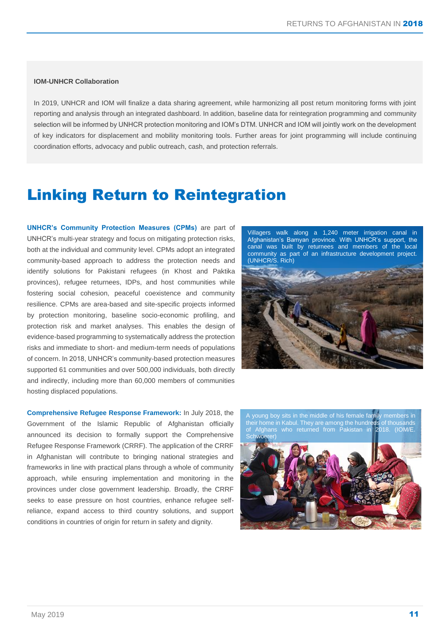#### **IOM-UNHCR Collaboration**

In 2019, UNHCR and IOM will finalize a data sharing agreement, while harmonizing all post return monitoring forms with joint reporting and analysis through an integrated dashboard. In addition, baseline data for reintegration programming and community selection will be informed by UNHCR protection monitoring and IOM's DTM. UNHCR and IOM will jointly work on the development of key indicators for displacement and mobility monitoring tools. Further areas for joint programming will include continuing coordination efforts, advocacy and public outreach, cash, and protection referrals.

## Linking Return to Reintegration

**UNHCR's Community Protection Measures (CPMs)** are part of UNHCR's multi-year strategy and focus on mitigating protection risks, both at the individual and community level. CPMs adopt an integrated community-based approach to address the protection needs and identify solutions for Pakistani refugees (in Khost and Paktika provinces), refugee returnees, IDPs, and host communities while fostering social cohesion, peaceful coexistence and community resilience. CPMs are area-based and site-specific projects informed by protection monitoring, baseline socio-economic profiling, and protection risk and market analyses. This enables the design of evidence-based programming to systematically address the protection risks and immediate to short- and medium-term needs of populations of concern. In 2018, UNHCR's community-based protection measures supported 61 communities and over 500,000 individuals, both directly and indirectly, including more than 60,000 members of communities hosting displaced populations.

**Comprehensive Refugee Response Framework:** In July 2018, the Government of the Islamic Republic of Afghanistan officially announced its decision to formally support the Comprehensive Refugee Response Framework (CRRF). The application of the CRRF in Afghanistan will contribute to bringing national strategies and frameworks in line with practical plans through a whole of community approach, while ensuring implementation and monitoring in the provinces under close government leadership. Broadly, the CRRF seeks to ease pressure on host countries, enhance refugee selfreliance, expand access to third country solutions, and support conditions in countries of origin for return in safety and dignity.

Villagers walk along a 1,240 meter irrigation canal in Afghanistan's Bamyan province. With UNHCR's support, the canal was built by returnees and members of the local community as part of an infrastructure development project. (UNHCR/S. Rich)



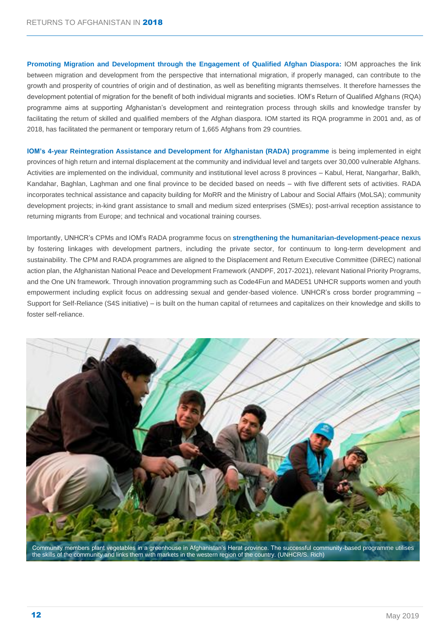**Promoting Migration and Development through the Engagement of Qualified Afghan Diaspora:** IOM approaches the link between migration and development from the perspective that international migration, if properly managed, can contribute to the growth and prosperity of countries of origin and of destination, as well as benefiting migrants themselves. It therefore harnesses the development potential of migration for the benefit of both individual migrants and societies. IOM's Return of Qualified Afghans (RQA) programme aims at supporting Afghanistan's development and reintegration process through skills and knowledge transfer by facilitating the return of skilled and qualified members of the Afghan diaspora. IOM started its RQA programme in 2001 and, as of 2018, has facilitated the permanent or temporary return of 1,665 Afghans from 29 countries.

**IOM's 4-year Reintegration Assistance and Development for Afghanistan (RADA) programme is being implemented in eight** provinces of high return and internal displacement at the community and individual level and targets over 30,000 vulnerable Afghans. Activities are implemented on the individual, community and institutional level across 8 provinces – Kabul, Herat, Nangarhar, Balkh, Kandahar, Baghlan, Laghman and one final province to be decided based on needs – with five different sets of activities. RADA incorporates technical assistance and capacity building for MoRR and the Ministry of Labour and Social Affairs (MoLSA); community development projects; in-kind grant assistance to small and medium sized enterprises (SMEs); post-arrival reception assistance to returning migrants from Europe; and technical and vocational training courses.

Importantly, UNHCR's CPMs and IOM's RADA programme focus on **strengthening the humanitarian-development-peace nexus** by fostering linkages with development partners, including the private sector, for continuum to long-term development and sustainability. The CPM and RADA programmes are aligned to the Displacement and Return Executive Committee (DiREC) national action plan, the Afghanistan National Peace and Development Framework (ANDPF, 2017-2021), relevant National Priority Programs, and the One UN framework. Through innovation programming such as Code4Fun and MADE51 UNHCR supports women and youth empowerment including explicit focus on addressing sexual and gender-based violence. UNHCR's cross border programming – Support for Self-Reliance (S4S initiative) – is built on the human capital of returnees and capitalizes on their knowledge and skills to foster self-reliance.



Community members plant vegetables in a greenhouse in Afghanistan's Herat province. The successful community-based programme utilises the skills of the community and links them with markets in the western region of the country. (UNHCR/S. Rich)